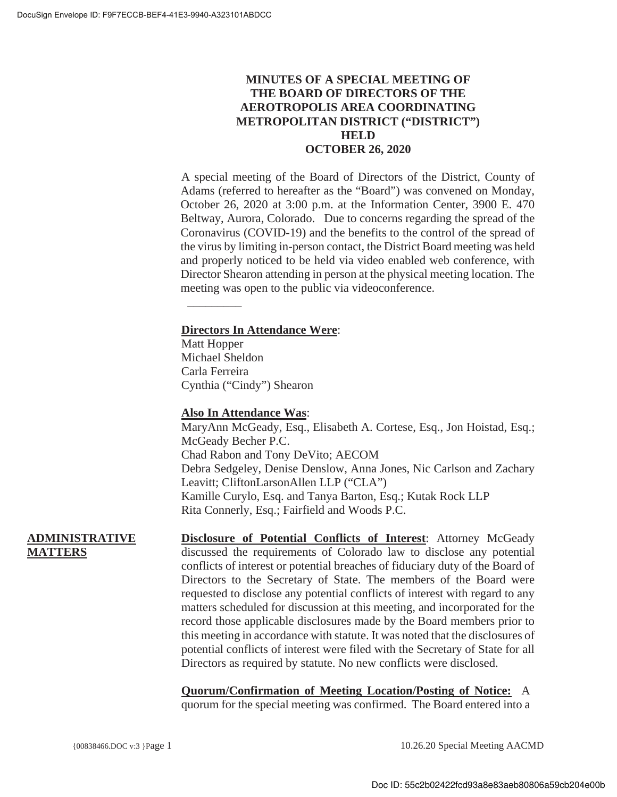# **MINUTES OF A SPECIAL MEETING OF THE BOARD OF DIRECTORS OF THE AEROTROPOLIS AREA COORDINATING METROPOLITAN DISTRICT ("DISTRICT") HELD OCTOBER 26, 2020**

A special meeting of the Board of Directors of the District, County of Adams (referred to hereafter as the "Board") was convened on Monday, October 26, 2020 at 3:00 p.m. at the Information Center, 3900 E. 470 Beltway, Aurora, Colorado. Due to concerns regarding the spread of the Coronavirus (COVID-19) and the benefits to the control of the spread of the virus by limiting in-person contact, the District Board meeting was held and properly noticed to be held via video enabled web conference, with Director Shearon attending in person at the physical meeting location. The meeting was open to the public via videoconference.

# **Directors In Attendance Were**:

Matt Hopper Michael Sheldon Carla Ferreira Cynthia ("Cindy") Shearon

 $\overline{\phantom{a}}$ 

### **Also In Attendance Was**:

MaryAnn McGeady, Esq., Elisabeth A. Cortese, Esq., Jon Hoistad, Esq.; McGeady Becher P.C. Chad Rabon and Tony DeVito; AECOM Debra Sedgeley, Denise Denslow, Anna Jones, Nic Carlson and Zachary Leavitt; CliftonLarsonAllen LLP ("CLA") Kamille Curylo, Esq. and Tanya Barton, Esq.; Kutak Rock LLP Rita Connerly, Esq.; Fairfield and Woods P.C.

## **ADMINISTRATIVE MATTERS**

**Disclosure of Potential Conflicts of Interest**: Attorney McGeady discussed the requirements of Colorado law to disclose any potential conflicts of interest or potential breaches of fiduciary duty of the Board of Directors to the Secretary of State. The members of the Board were requested to disclose any potential conflicts of interest with regard to any matters scheduled for discussion at this meeting, and incorporated for the record those applicable disclosures made by the Board members prior to this meeting in accordance with statute. It was noted that the disclosures of potential conflicts of interest were filed with the Secretary of State for all Directors as required by statute. No new conflicts were disclosed.

**Quorum/Confirmation of Meeting Location/Posting of Notice:** A quorum for the special meeting was confirmed. The Board entered into a

{00838466.DOC v:3 }Page 1 10.26.20 Special Meeting AACMD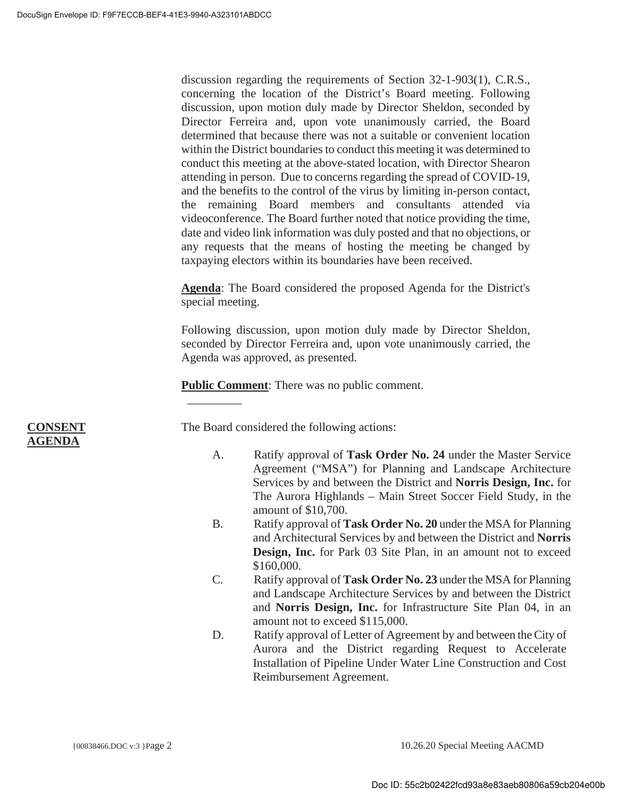discussion regarding the requirements of Section 32-1-903(1), C.R.S., concerning the location of the District's Board meeting. Following discussion, upon motion duly made by Director Sheldon, seconded by Director Ferreira and, upon vote unanimously carried, the Board determined that because there was not a suitable or convenient location within the District boundaries to conduct this meeting it was determined to conduct this meeting at the above-stated location, with Director Shearon attending in person. Due to concerns regarding the spread of COVID-19, and the benefits to the control of the virus by limiting in-person contact, the remaining Board members and consultants attended via videoconference. The Board further noted that notice providing the time, date and video link information was duly posted and that no objections, or any requests that the means of hosting the meeting be changed by taxpaying electors within its boundaries have been received.

**Agenda**: The Board considered the proposed Agenda for the District's special meeting.

Following discussion, upon motion duly made by Director Sheldon, seconded by Director Ferreira and, upon vote unanimously carried, the Agenda was approved, as presented.

**Public Comment:** There was no public comment.

 $\overline{\phantom{a}}$ The Board considered the following actions:

- A. Ratify approval of **Task Order No. 24** under the Master Service Agreement ("MSA") for Planning and Landscape Architecture Services by and between the District and **Norris Design, Inc.** for The Aurora Highlands – Main Street Soccer Field Study, in the amount of \$10,700.
- B. Ratify approval of **Task Order No. 20** under the MSA for Planning and Architectural Services by and between the District and **Norris Design, Inc.** for Park 03 Site Plan, in an amount not to exceed \$160,000.
- C. Ratify approval of **Task Order No. 23** under the MSA for Planning and Landscape Architecture Services by and between the District and **Norris Design, Inc.** for Infrastructure Site Plan 04, in an amount not to exceed \$115,000.
- D. Ratify approval of Letter of Agreement by and between the City of Aurora and the District regarding Request to Accelerate Installation of Pipeline Under Water Line Construction and Cost Reimbursement Agreement.

### **CONSENT AGENDA**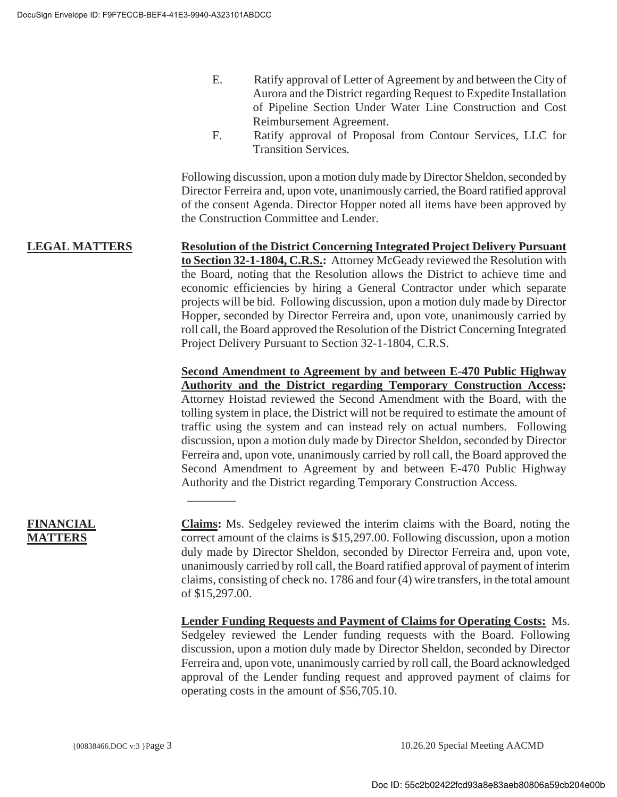- E. Ratify approval of Letter of Agreement by and between the City of Aurora and the District regarding Request to Expedite Installation of Pipeline Section Under Water Line Construction and Cost Reimbursement Agreement.
- F. Ratify approval of Proposal from Contour Services, LLC for Transition Services.

Following discussion, upon a motion duly made by Director Sheldon, seconded by Director Ferreira and, upon vote, unanimously carried, the Board ratified approval of the consent Agenda. Director Hopper noted all items have been approved by the Construction Committee and Lender.

**LEGAL MATTERS Resolution of the District Concerning Integrated Project Delivery Pursuant to Section 32-1-1804, C.R.S.:** Attorney McGeady reviewed the Resolution with the Board, noting that the Resolution allows the District to achieve time and economic efficiencies by hiring a General Contractor under which separate projects will be bid. Following discussion, upon a motion duly made by Director Hopper, seconded by Director Ferreira and, upon vote, unanimously carried by roll call, the Board approved the Resolution of the District Concerning Integrated Project Delivery Pursuant to Section 32-1-1804, C.R.S.

 $\overline{\phantom{a}}$ 

**Second Amendment to Agreement by and between E-470 Public Highway Authority and the District regarding Temporary Construction Access:** Attorney Hoistad reviewed the Second Amendment with the Board, with the tolling system in place, the District will not be required to estimate the amount of traffic using the system and can instead rely on actual numbers. Following discussion, upon a motion duly made by Director Sheldon, seconded by Director Ferreira and, upon vote, unanimously carried by roll call, the Board approved the Second Amendment to Agreement by and between E-470 Public Highway Authority and the District regarding Temporary Construction Access.

# **FINANCIAL MATTERS**

**Claims:** Ms. Sedgeley reviewed the interim claims with the Board, noting the correct amount of the claims is \$15,297.00. Following discussion, upon a motion duly made by Director Sheldon, seconded by Director Ferreira and, upon vote, unanimously carried by roll call, the Board ratified approval of payment of interim claims, consisting of check no. 1786 and four (4) wire transfers, in the total amount of \$15,297.00.

**Lender Funding Requests and Payment of Claims for Operating Costs:** Ms. Sedgeley reviewed the Lender funding requests with the Board. Following discussion, upon a motion duly made by Director Sheldon, seconded by Director Ferreira and, upon vote, unanimously carried by roll call, the Board acknowledged approval of the Lender funding request and approved payment of claims for operating costs in the amount of \$56,705.10.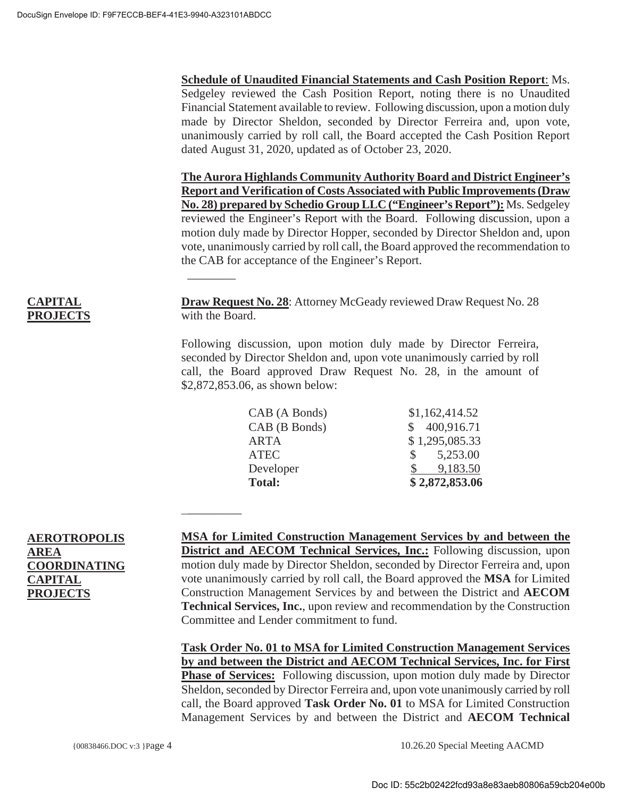$\overline{\phantom{a}}$ 

 $\overline{\phantom{a}}$ 

**Schedule of Unaudited Financial Statements and Cash Position Report**: Ms. Sedgeley reviewed the Cash Position Report, noting there is no Unaudited Financial Statement available to review. Following discussion, upon a motion duly made by Director Sheldon, seconded by Director Ferreira and, upon vote, unanimously carried by roll call, the Board accepted the Cash Position Report dated August 31, 2020, updated as of October 23, 2020.

**The Aurora Highlands Community Authority Board and District Engineer's Report and Verification of Costs Associated with Public Improvements (Draw No. 28) prepared by Schedio Group LLC ("Engineer's Report"):** Ms. Sedgeley reviewed the Engineer's Report with the Board. Following discussion, upon a motion duly made by Director Hopper, seconded by Director Sheldon and, upon vote, unanimously carried by roll call, the Board approved the recommendation to the CAB for acceptance of the Engineer's Report.

**CAPITAL PROJECTS**

**Draw Request No. 28**: Attorney McGeady reviewed Draw Request No. 28 with the Board.

Following discussion, upon motion duly made by Director Ferreira, seconded by Director Sheldon and, upon vote unanimously carried by roll call, the Board approved Draw Request No. 28, in the amount of \$2,872,853.06, as shown below:

| CAB (A Bonds) | \$1,162,414.52            |
|---------------|---------------------------|
| CAB (B Bonds) | 400,916.71                |
| <b>ARTA</b>   | \$1,295,085.33            |
| <b>ATEC</b>   | 5,253.00<br>$\mathcal{S}$ |
| Developer     | 9,183.50                  |
| <b>Total:</b> | \$2,872,853.06            |

# **AEROTROPOLIS AREA COORDINATING CAPITAL PROJECTS**

**MSA for Limited Construction Management Services by and between the District and AECOM Technical Services, Inc.:** Following discussion, upon motion duly made by Director Sheldon, seconded by Director Ferreira and, upon vote unanimously carried by roll call, the Board approved the **MSA** for Limited Construction Management Services by and between the District and **AECOM Technical Services, Inc.**, upon review and recommendation by the Construction Committee and Lender commitment to fund.

**Task Order No. 01 to MSA for Limited Construction Management Services by and between the District and AECOM Technical Services, Inc. for First Phase of Services:** Following discussion, upon motion duly made by Director Sheldon, seconded by Director Ferreira and, upon vote unanimously carried by roll call, the Board approved **Task Order No. 01** to MSA for Limited Construction Management Services by and between the District and **AECOM Technical** 

{00838466.DOC v:3 }Page 4 10.26.20 Special Meeting AACMD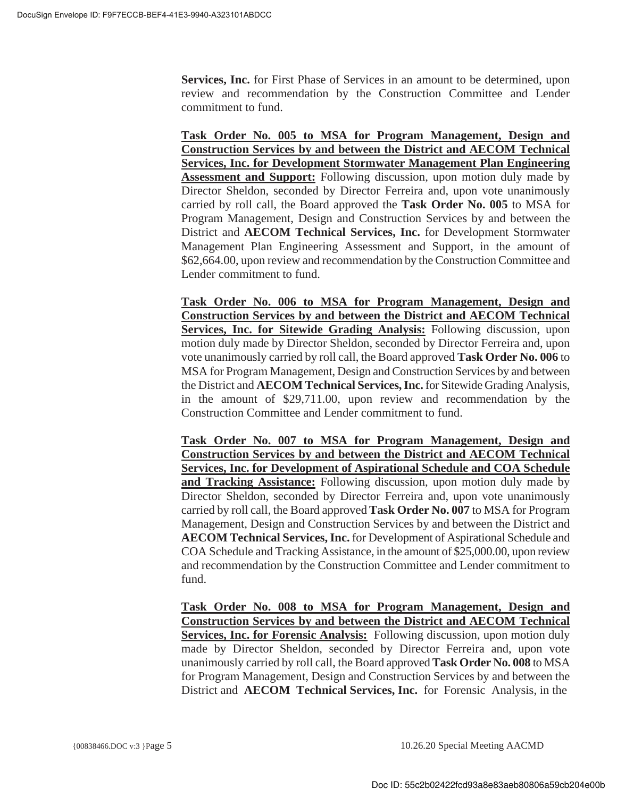**Services, Inc.** for First Phase of Services in an amount to be determined, upon review and recommendation by the Construction Committee and Lender commitment to fund.

**Task Order No. 005 to MSA for Program Management, Design and Construction Services by and between the District and AECOM Technical Services, Inc. for Development Stormwater Management Plan Engineering Assessment and Support:** Following discussion, upon motion duly made by Director Sheldon, seconded by Director Ferreira and, upon vote unanimously carried by roll call, the Board approved the **Task Order No. 005** to MSA for Program Management, Design and Construction Services by and between the District and **AECOM Technical Services, Inc.** for Development Stormwater Management Plan Engineering Assessment and Support, in the amount of \$62,664.00, upon review and recommendation by the Construction Committee and Lender commitment to fund.

**Task Order No. 006 to MSA for Program Management, Design and Construction Services by and between the District and AECOM Technical Services, Inc. for Sitewide Grading Analysis:** Following discussion, upon motion duly made by Director Sheldon, seconded by Director Ferreira and, upon vote unanimously carried by roll call, the Board approved **Task Order No. 006** to MSA for Program Management, Design and Construction Services by and between the District and **AECOM Technical Services, Inc.** for Sitewide Grading Analysis, in the amount of \$29,711.00, upon review and recommendation by the Construction Committee and Lender commitment to fund.

**Task Order No. 007 to MSA for Program Management, Design and Construction Services by and between the District and AECOM Technical Services, Inc. for Development of Aspirational Schedule and COA Schedule and Tracking Assistance:** Following discussion, upon motion duly made by Director Sheldon, seconded by Director Ferreira and, upon vote unanimously carried by roll call, the Board approved **Task Order No. 007** to MSA for Program Management, Design and Construction Services by and between the District and **AECOM Technical Services, Inc.** for Development of Aspirational Schedule and COA Schedule and Tracking Assistance, in the amount of \$25,000.00, upon review and recommendation by the Construction Committee and Lender commitment to fund.

**Task Order No. 008 to MSA for Program Management, Design and Construction Services by and between the District and AECOM Technical Services, Inc. for Forensic Analysis:** Following discussion, upon motion duly made by Director Sheldon, seconded by Director Ferreira and, upon vote unanimously carried by roll call, the Board approved **Task Order No. 008** to MSA for Program Management, Design and Construction Services by and between the District and **AECOM Technical Services, Inc.** for Forensic Analysis, in the

{00838466.DOC v:3 }Page 5 10.26.20 Special Meeting AACMD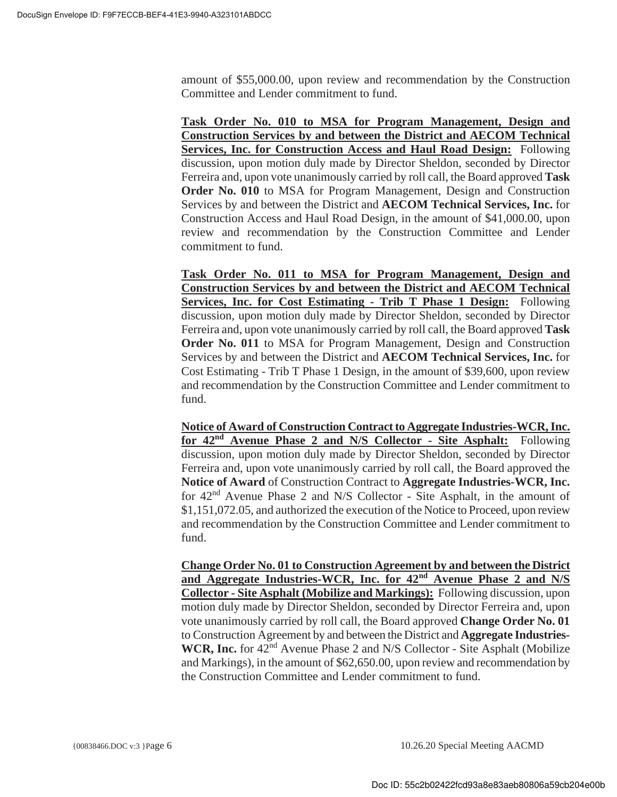amount of \$55,000.00, upon review and recommendation by the Construction Committee and Lender commitment to fund.

**Task Order No. 010 to MSA for Program Management, Design and Construction Services by and between the District and AECOM Technical Services, Inc. for Construction Access and Haul Road Design:** Following discussion, upon motion duly made by Director Sheldon, seconded by Director Ferreira and, upon vote unanimously carried by roll call, the Board approved **Task Order No. 010** to MSA for Program Management, Design and Construction Services by and between the District and **AECOM Technical Services, Inc.** for Construction Access and Haul Road Design, in the amount of \$41,000.00, upon review and recommendation by the Construction Committee and Lender commitment to fund.

**Task Order No. 011 to MSA for Program Management, Design and Construction Services by and between the District and AECOM Technical Services, Inc. for Cost Estimating - Trib T Phase 1 Design:** Following discussion, upon motion duly made by Director Sheldon, seconded by Director Ferreira and, upon vote unanimously carried by roll call, the Board approved **Task Order No. 011** to MSA for Program Management, Design and Construction Services by and between the District and **AECOM Technical Services, Inc.** for Cost Estimating - Trib T Phase 1 Design, in the amount of \$39,600, upon review and recommendation by the Construction Committee and Lender commitment to fund.

**Notice of Award of Construction Contract to Aggregate Industries-WCR, Inc. for 42nd Avenue Phase 2 and N/S Collector - Site Asphalt:** Following discussion, upon motion duly made by Director Sheldon, seconded by Director Ferreira and, upon vote unanimously carried by roll call, the Board approved the **Notice of Award** of Construction Contract to **Aggregate Industries-WCR, Inc.**  for 42nd Avenue Phase 2 and N/S Collector - Site Asphalt, in the amount of \$1,151,072.05, and authorized the execution of the Notice to Proceed, upon review and recommendation by the Construction Committee and Lender commitment to fund.

**Change Order No. 01 to Construction Agreement by and between the District and Aggregate Industries-WCR, Inc. for 42nd Avenue Phase 2 and N/S Collector - Site Asphalt (Mobilize and Markings):** Following discussion, upon motion duly made by Director Sheldon, seconded by Director Ferreira and, upon vote unanimously carried by roll call, the Board approved **Change Order No. 01** to Construction Agreement by and between the District and **Aggregate Industries-**WCR, Inc. for 42<sup>nd</sup> Avenue Phase 2 and N/S Collector - Site Asphalt (Mobilize and Markings), in the amount of \$62,650.00, upon review and recommendation by the Construction Committee and Lender commitment to fund.

{00838466.DOC v:3 }Page 6 10.26.20 Special Meeting AACMD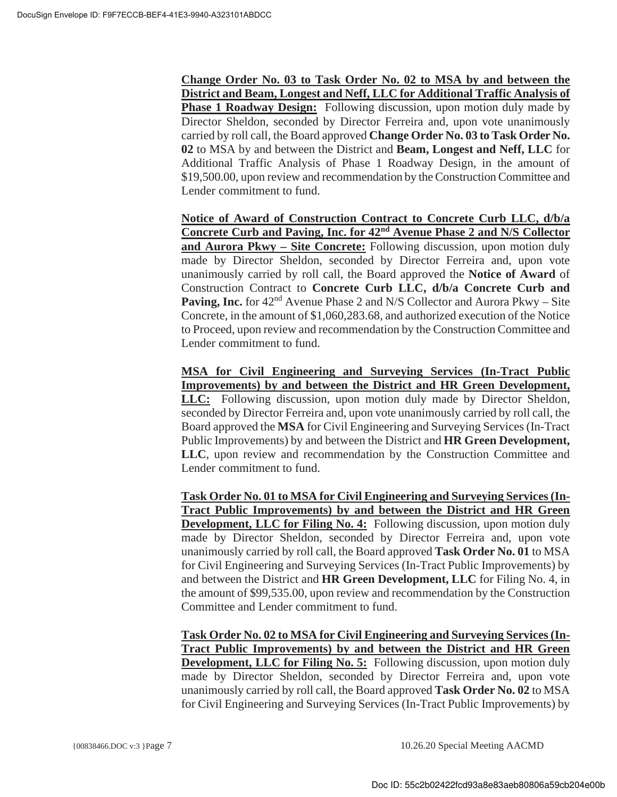**Change Order No. 03 to Task Order No. 02 to MSA by and between the District and Beam, Longest and Neff, LLC for Additional Traffic Analysis of Phase 1 Roadway Design:** Following discussion, upon motion duly made by Director Sheldon, seconded by Director Ferreira and, upon vote unanimously carried by roll call, the Board approved **Change Order No. 03 to Task Order No. 02** to MSA by and between the District and **Beam, Longest and Neff, LLC** for Additional Traffic Analysis of Phase 1 Roadway Design, in the amount of \$19,500.00, upon review and recommendation by the Construction Committee and Lender commitment to fund.

**Notice of Award of Construction Contract to Concrete Curb LLC, d/b/a Concrete Curb and Paving, Inc. for 42nd Avenue Phase 2 and N/S Collector and Aurora Pkwy – Site Concrete:** Following discussion, upon motion duly made by Director Sheldon, seconded by Director Ferreira and, upon vote unanimously carried by roll call, the Board approved the **Notice of Award** of Construction Contract to **Concrete Curb LLC, d/b/a Concrete Curb and Paving, Inc.** for 42<sup>nd</sup> Avenue Phase 2 and N/S Collector and Aurora Pkwy – Site Concrete, in the amount of \$1,060,283.68, and authorized execution of the Notice to Proceed, upon review and recommendation by the Construction Committee and Lender commitment to fund.

**MSA for Civil Engineering and Surveying Services (In-Tract Public Improvements) by and between the District and HR Green Development, LLC:** Following discussion, upon motion duly made by Director Sheldon, seconded by Director Ferreira and, upon vote unanimously carried by roll call, the Board approved the **MSA** for Civil Engineering and Surveying Services (In-Tract Public Improvements) by and between the District and **HR Green Development, LLC**, upon review and recommendation by the Construction Committee and Lender commitment to fund.

**Task Order No. 01 to MSA for Civil Engineering and Surveying Services (In-Tract Public Improvements) by and between the District and HR Green Development, LLC for Filing No. 4:** Following discussion, upon motion duly made by Director Sheldon, seconded by Director Ferreira and, upon vote unanimously carried by roll call, the Board approved **Task Order No. 01** to MSA for Civil Engineering and Surveying Services (In-Tract Public Improvements) by and between the District and **HR Green Development, LLC** for Filing No. 4, in the amount of \$99,535.00, upon review and recommendation by the Construction Committee and Lender commitment to fund.

**Task Order No. 02 to MSA for Civil Engineering and Surveying Services (In-Tract Public Improvements) by and between the District and HR Green Development, LLC for Filing No. 5:** Following discussion, upon motion duly made by Director Sheldon, seconded by Director Ferreira and, upon vote unanimously carried by roll call, the Board approved **Task Order No. 02** to MSA for Civil Engineering and Surveying Services (In-Tract Public Improvements) by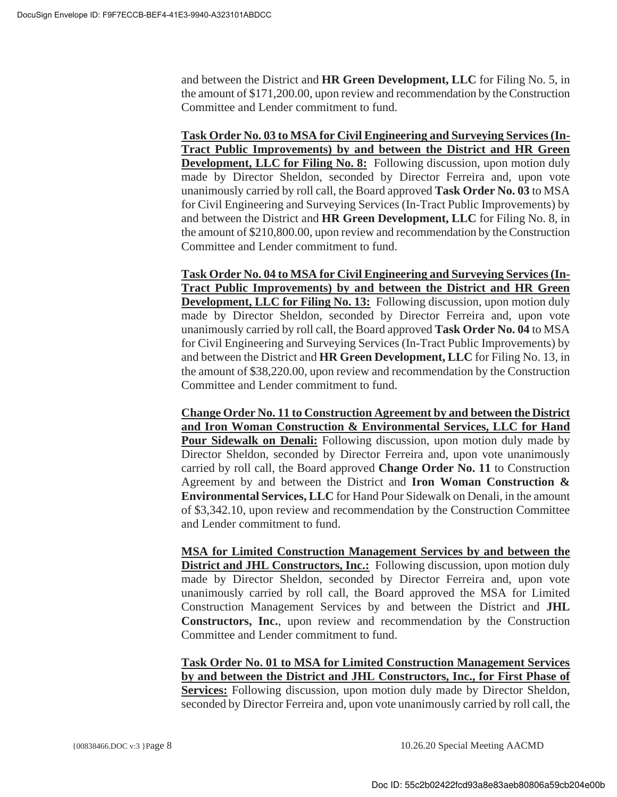and between the District and **HR Green Development, LLC** for Filing No. 5, in the amount of \$171,200.00, upon review and recommendation by the Construction Committee and Lender commitment to fund.

**Task Order No. 03 to MSA for Civil Engineering and Surveying Services (In-Tract Public Improvements) by and between the District and HR Green Development, LLC for Filing No. 8:** Following discussion, upon motion duly made by Director Sheldon, seconded by Director Ferreira and, upon vote unanimously carried by roll call, the Board approved **Task Order No. 03** to MSA for Civil Engineering and Surveying Services (In-Tract Public Improvements) by and between the District and **HR Green Development, LLC** for Filing No. 8, in the amount of \$210,800.00, upon review and recommendation by the Construction Committee and Lender commitment to fund.

**Task Order No. 04 to MSA for Civil Engineering and Surveying Services (In-Tract Public Improvements) by and between the District and HR Green Development, LLC for Filing No. 13:** Following discussion, upon motion duly made by Director Sheldon, seconded by Director Ferreira and, upon vote unanimously carried by roll call, the Board approved **Task Order No. 04** to MSA for Civil Engineering and Surveying Services (In-Tract Public Improvements) by and between the District and **HR Green Development, LLC** for Filing No. 13, in the amount of \$38,220.00, upon review and recommendation by the Construction Committee and Lender commitment to fund.

**Change Order No. 11 to Construction Agreement by and between the District and Iron Woman Construction & Environmental Services, LLC for Hand Pour Sidewalk on Denali:** Following discussion, upon motion duly made by Director Sheldon, seconded by Director Ferreira and, upon vote unanimously carried by roll call, the Board approved **Change Order No. 11** to Construction Agreement by and between the District and **Iron Woman Construction & Environmental Services, LLC** for Hand Pour Sidewalk on Denali, in the amount of \$3,342.10, upon review and recommendation by the Construction Committee and Lender commitment to fund.

**MSA for Limited Construction Management Services by and between the District and JHL Constructors, Inc.:** Following discussion, upon motion duly made by Director Sheldon, seconded by Director Ferreira and, upon vote unanimously carried by roll call, the Board approved the MSA for Limited Construction Management Services by and between the District and **JHL Constructors, Inc.**, upon review and recommendation by the Construction Committee and Lender commitment to fund.

**Task Order No. 01 to MSA for Limited Construction Management Services by and between the District and JHL Constructors, Inc., for First Phase of Services:** Following discussion, upon motion duly made by Director Sheldon, seconded by Director Ferreira and, upon vote unanimously carried by roll call, the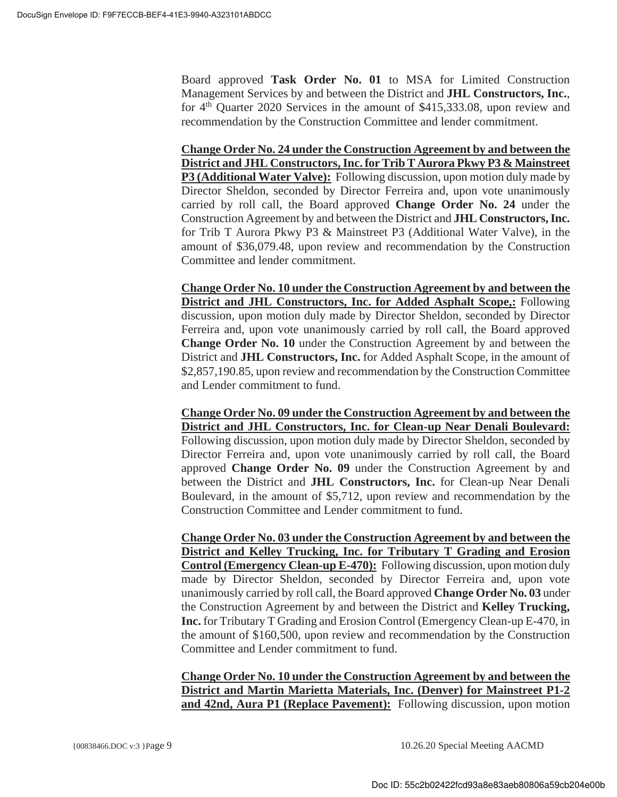Board approved **Task Order No. 01** to MSA for Limited Construction Management Services by and between the District and **JHL Constructors, Inc.**, for  $4<sup>th</sup>$  Quarter 2020 Services in the amount of \$415,333.08, upon review and recommendation by the Construction Committee and lender commitment.

**Change Order No. 24 under the Construction Agreement by and between the District and JHL Constructors, Inc. for Trib T Aurora Pkwy P3 & Mainstreet P3 (Additional Water Valve):** Following discussion, upon motion duly made by Director Sheldon, seconded by Director Ferreira and, upon vote unanimously carried by roll call, the Board approved **Change Order No. 24** under the Construction Agreement by and between the District and **JHL Constructors, Inc.**  for Trib T Aurora Pkwy P3 & Mainstreet P3 (Additional Water Valve), in the amount of \$36,079.48, upon review and recommendation by the Construction Committee and lender commitment.

**Change Order No. 10 under the Construction Agreement by and between the District and JHL Constructors, Inc. for Added Asphalt Scope,:** Following discussion, upon motion duly made by Director Sheldon, seconded by Director Ferreira and, upon vote unanimously carried by roll call, the Board approved **Change Order No. 10** under the Construction Agreement by and between the District and **JHL Constructors, Inc.** for Added Asphalt Scope, in the amount of \$2,857,190.85, upon review and recommendation by the Construction Committee and Lender commitment to fund.

**Change Order No. 09 under the Construction Agreement by and between the District and JHL Constructors, Inc. for Clean-up Near Denali Boulevard:** Following discussion, upon motion duly made by Director Sheldon, seconded by Director Ferreira and, upon vote unanimously carried by roll call, the Board approved **Change Order No. 09** under the Construction Agreement by and between the District and **JHL Constructors, Inc.** for Clean-up Near Denali Boulevard, in the amount of \$5,712, upon review and recommendation by the Construction Committee and Lender commitment to fund.

**Change Order No. 03 under the Construction Agreement by and between the District and Kelley Trucking, Inc. for Tributary T Grading and Erosion Control (Emergency Clean-up E-470):** Following discussion, upon motion duly made by Director Sheldon, seconded by Director Ferreira and, upon vote unanimously carried by roll call, the Board approved **Change Order No. 03** under the Construction Agreement by and between the District and **Kelley Trucking, Inc.** for Tributary T Grading and Erosion Control (Emergency Clean-up E-470, in the amount of \$160,500, upon review and recommendation by the Construction Committee and Lender commitment to fund.

**Change Order No. 10 under the Construction Agreement by and between the District and Martin Marietta Materials, Inc. (Denver) for Mainstreet P1-2 and 42nd, Aura P1 (Replace Pavement):** Following discussion, upon motion

{00838466.DOC v:3 }Page 9 10.26.20 Special Meeting AACMD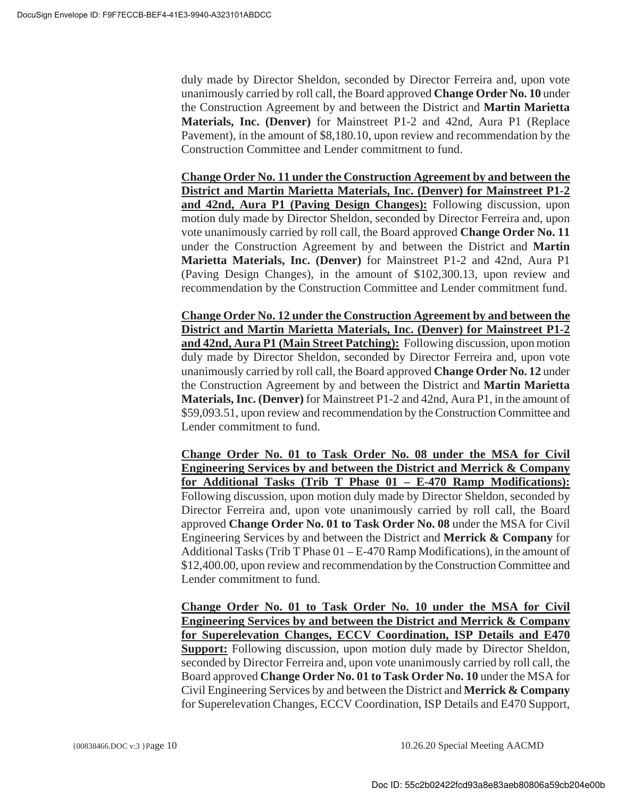duly made by Director Sheldon, seconded by Director Ferreira and, upon vote unanimously carried by roll call, the Board approved **Change Order No. 10** under the Construction Agreement by and between the District and **Martin Marietta Materials, Inc. (Denver)** for Mainstreet P1-2 and 42nd, Aura P1 (Replace Pavement), in the amount of \$8,180.10, upon review and recommendation by the Construction Committee and Lender commitment to fund.

**Change Order No. 11 under the Construction Agreement by and between the District and Martin Marietta Materials, Inc. (Denver) for Mainstreet P1-2 and 42nd, Aura P1 (Paving Design Changes):** Following discussion, upon motion duly made by Director Sheldon, seconded by Director Ferreira and, upon vote unanimously carried by roll call, the Board approved **Change Order No. 11** under the Construction Agreement by and between the District and **Martin Marietta Materials, Inc. (Denver)** for Mainstreet P1-2 and 42nd, Aura P1 (Paving Design Changes), in the amount of \$102,300.13, upon review and recommendation by the Construction Committee and Lender commitment fund.

**Change Order No. 12 under the Construction Agreement by and between the District and Martin Marietta Materials, Inc. (Denver) for Mainstreet P1-2 and 42nd, Aura P1 (Main Street Patching):** Following discussion, upon motion duly made by Director Sheldon, seconded by Director Ferreira and, upon vote unanimously carried by roll call, the Board approved **Change Order No. 12** under the Construction Agreement by and between the District and **Martin Marietta Materials, Inc. (Denver)** for Mainstreet P1-2 and 42nd, Aura P1, in the amount of \$59,093.51, upon review and recommendation by the Construction Committee and Lender commitment to fund.

**Change Order No. 01 to Task Order No. 08 under the MSA for Civil Engineering Services by and between the District and Merrick & Company for Additional Tasks (Trib T Phase 01 – E-470 Ramp Modifications):** Following discussion, upon motion duly made by Director Sheldon, seconded by Director Ferreira and, upon vote unanimously carried by roll call, the Board approved **Change Order No. 01 to Task Order No. 08** under the MSA for Civil Engineering Services by and between the District and **Merrick & Company** for Additional Tasks (Trib T Phase 01 – E-470 Ramp Modifications), in the amount of \$12,400.00, upon review and recommendation by the Construction Committee and Lender commitment to fund.

**Change Order No. 01 to Task Order No. 10 under the MSA for Civil Engineering Services by and between the District and Merrick & Company for Superelevation Changes, ECCV Coordination, ISP Details and E470 Support:** Following discussion, upon motion duly made by Director Sheldon, seconded by Director Ferreira and, upon vote unanimously carried by roll call, the Board approved **Change Order No. 01 to Task Order No. 10** under the MSA for Civil Engineering Services by and between the District and **Merrick & Company**  for Superelevation Changes, ECCV Coordination, ISP Details and E470 Support,

{00838466.DOC v:3 }Page 10 10.26.20 Special Meeting AACMD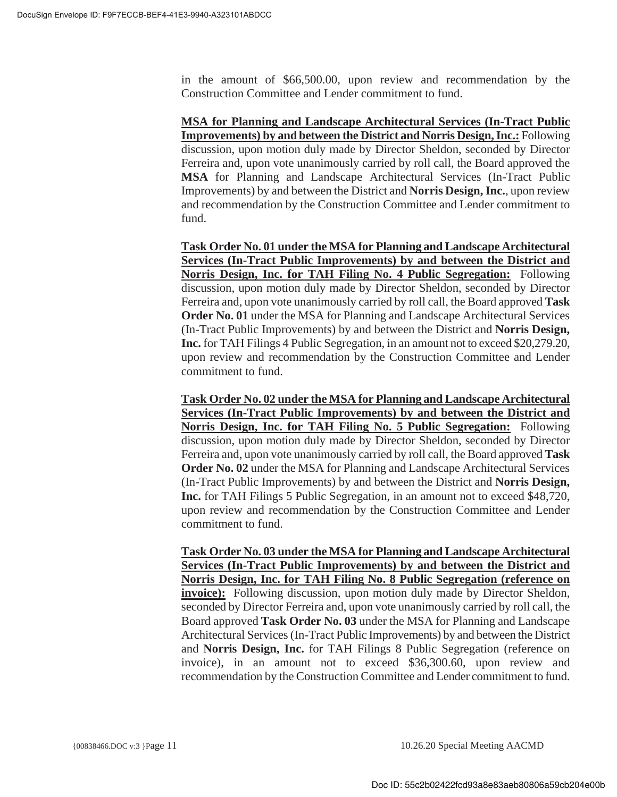in the amount of \$66,500.00, upon review and recommendation by the Construction Committee and Lender commitment to fund.

**MSA for Planning and Landscape Architectural Services (In-Tract Public Improvements) by and between the District and Norris Design, Inc.:** Following discussion, upon motion duly made by Director Sheldon, seconded by Director Ferreira and, upon vote unanimously carried by roll call, the Board approved the **MSA** for Planning and Landscape Architectural Services (In-Tract Public Improvements) by and between the District and **Norris Design, Inc.**, upon review and recommendation by the Construction Committee and Lender commitment to fund.

**Task Order No. 01 under the MSA for Planning and Landscape Architectural Services (In-Tract Public Improvements) by and between the District and Norris Design, Inc. for TAH Filing No. 4 Public Segregation:** Following discussion, upon motion duly made by Director Sheldon, seconded by Director Ferreira and, upon vote unanimously carried by roll call, the Board approved **Task Order No. 01** under the MSA for Planning and Landscape Architectural Services (In-Tract Public Improvements) by and between the District and **Norris Design, Inc.** for TAH Filings 4 Public Segregation, in an amount not to exceed \$20,279.20, upon review and recommendation by the Construction Committee and Lender commitment to fund.

**Task Order No. 02 under the MSA for Planning and Landscape Architectural Services (In-Tract Public Improvements) by and between the District and Norris Design, Inc. for TAH Filing No. 5 Public Segregation:** Following discussion, upon motion duly made by Director Sheldon, seconded by Director Ferreira and, upon vote unanimously carried by roll call, the Board approved **Task Order No. 02** under the MSA for Planning and Landscape Architectural Services (In-Tract Public Improvements) by and between the District and **Norris Design, Inc.** for TAH Filings 5 Public Segregation, in an amount not to exceed \$48,720, upon review and recommendation by the Construction Committee and Lender commitment to fund.

**Task Order No. 03 under the MSA for Planning and Landscape Architectural Services (In-Tract Public Improvements) by and between the District and Norris Design, Inc. for TAH Filing No. 8 Public Segregation (reference on invoice):** Following discussion, upon motion duly made by Director Sheldon, seconded by Director Ferreira and, upon vote unanimously carried by roll call, the Board approved **Task Order No. 03** under the MSA for Planning and Landscape Architectural Services (In-Tract Public Improvements) by and between the District and **Norris Design, Inc.** for TAH Filings 8 Public Segregation (reference on invoice), in an amount not to exceed \$36,300.60, upon review and recommendation by the Construction Committee and Lender commitment to fund.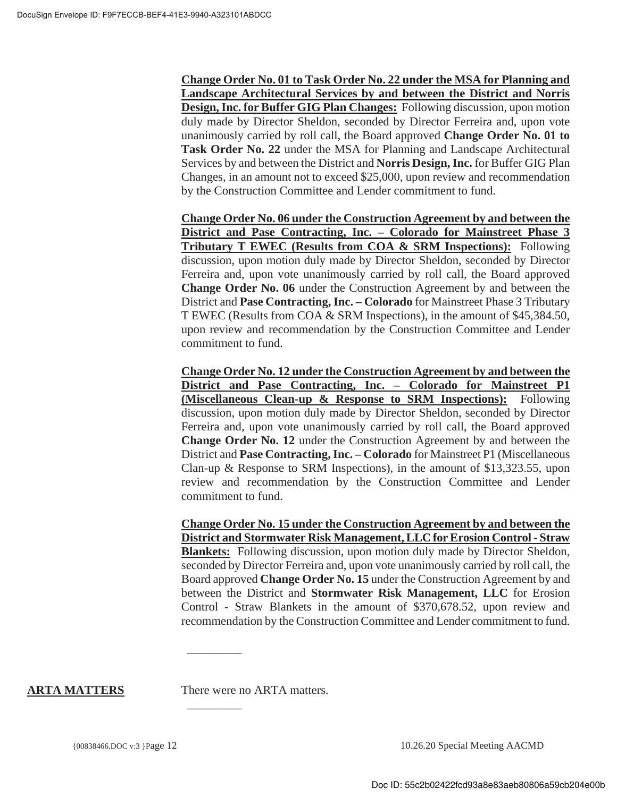**Change Order No. 01 to Task Order No. 22 under the MSA for Planning and Landscape Architectural Services by and between the District and Norris Design, Inc. for Buffer GIG Plan Changes:** Following discussion, upon motion duly made by Director Sheldon, seconded by Director Ferreira and, upon vote unanimously carried by roll call, the Board approved **Change Order No. 01 to Task Order No. 22** under the MSA for Planning and Landscape Architectural Services by and between the District and **Norris Design, Inc.** for Buffer GIG Plan Changes, in an amount not to exceed \$25,000, upon review and recommendation by the Construction Committee and Lender commitment to fund.

**Change Order No. 06 under the Construction Agreement by and between the District and Pase Contracting, Inc. – Colorado for Mainstreet Phase 3 Tributary T EWEC (Results from COA & SRM Inspections):** Following discussion, upon motion duly made by Director Sheldon, seconded by Director Ferreira and, upon vote unanimously carried by roll call, the Board approved **Change Order No. 06** under the Construction Agreement by and between the District and **Pase Contracting, Inc. – Colorado** for Mainstreet Phase 3 Tributary T EWEC (Results from COA & SRM Inspections), in the amount of \$45,384.50, upon review and recommendation by the Construction Committee and Lender commitment to fund.

**Change Order No. 12 under the Construction Agreement by and between the District and Pase Contracting, Inc. – Colorado for Mainstreet P1 (Miscellaneous Clean-up & Response to SRM Inspections):** Following discussion, upon motion duly made by Director Sheldon, seconded by Director Ferreira and, upon vote unanimously carried by roll call, the Board approved **Change Order No. 12** under the Construction Agreement by and between the District and **Pase Contracting, Inc. – Colorado** for Mainstreet P1 (Miscellaneous Clan-up & Response to SRM Inspections), in the amount of  $$13,323.55$ , upon review and recommendation by the Construction Committee and Lender commitment to fund.

**Change Order No. 15 under the Construction Agreement by and between the District and Stormwater Risk Management, LLC for Erosion Control - Straw Blankets:** Following discussion, upon motion duly made by Director Sheldon, seconded by Director Ferreira and, upon vote unanimously carried by roll call, the Board approved **Change Order No. 15** under the Construction Agreement by and between the District and **Stormwater Risk Management, LLC** for Erosion Control - Straw Blankets in the amount of \$370,678.52, upon review and recommendation by the Construction Committee and Lender commitment to fund.

**ARTA MATTERS** There were no ARTA matters.

 $\overline{\phantom{a}}$ 

 $\overline{\phantom{a}}$  . The set of the set of the set of the set of the set of the set of the set of the set of the set of the set of the set of the set of the set of the set of the set of the set of the set of the set of the set o

{00838466.DOC v:3 }Page 12 10.26.20 Special Meeting AACMD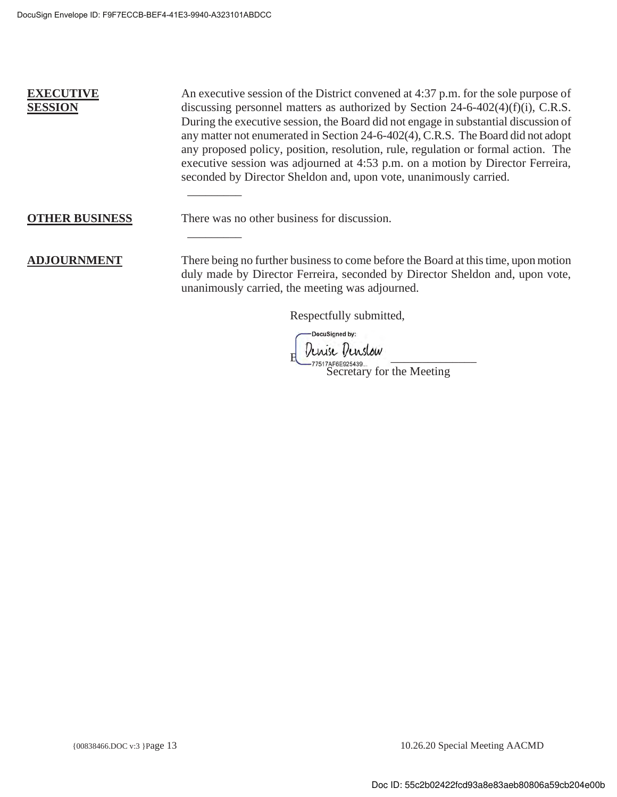# **EXECUTIVE SESSION**

An executive session of the District convened at 4:37 p.m. for the sole purpose of discussing personnel matters as authorized by Section  $24-6-402(4)(f)(i)$ , C.R.S. During the executive session, the Board did not engage in substantial discussion of any matter not enumerated in Section 24-6-402(4), C.R.S. The Board did not adopt any proposed policy, position, resolution, rule, regulation or formal action. The executive session was adjourned at 4:53 p.m. on a motion by Director Ferreira, seconded by Director Sheldon and, upon vote, unanimously carried.

#### **OTHER BUSINESS** There was no other business for discussion.

**ADJOURNMENT** There being no further business to come before the Board at this time, upon motion duly made by Director Ferreira, seconded by Director Sheldon and, upon vote, unanimously carried, the meeting was adjourned.

Respectfully submitted,

-DocuSigned by:

Denise Denslow

-77517AF6E925439...<br>Secretary for the Meeting